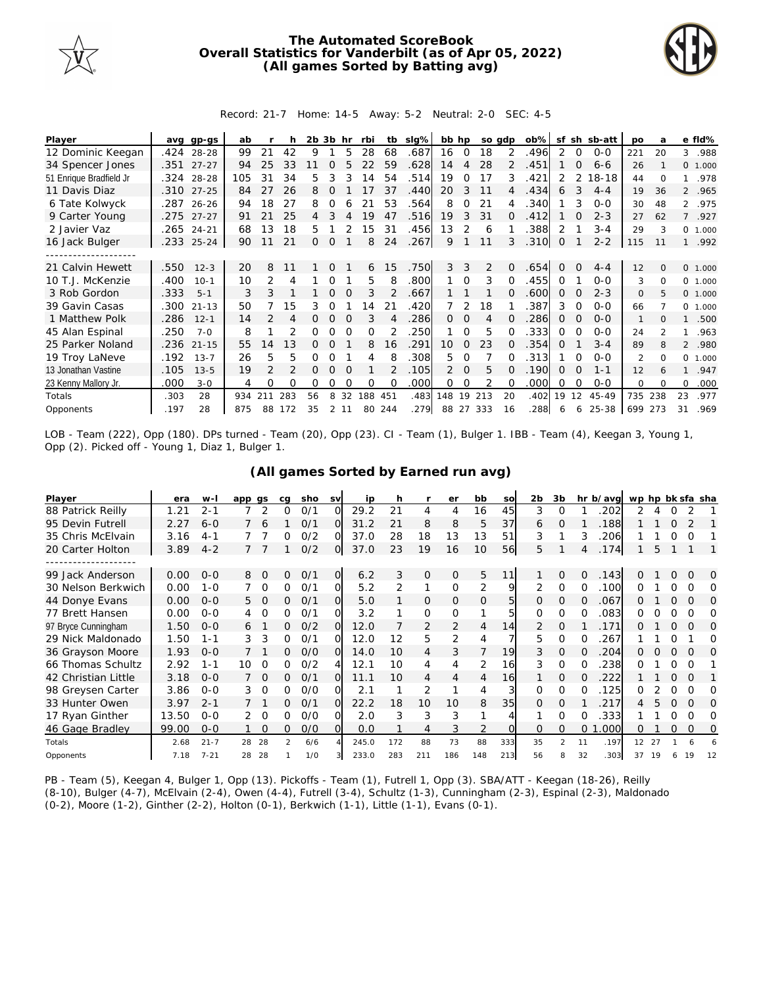

## **The Automated ScoreBook Overall Statistics for Vanderbilt (as of Apr 05, 2022) (All games Sorted by Batting avg)**



## Record: 21-7 Home: 14-5 Away: 5-2 Neutral: 2-0 SEC: 4-5

| Player                  | avq  | gp-gs      | ab  |               |     | 2b | 3b       | hr       | rbi | tb  | slg% | bb hp          |                | so adp |          | $ob\%$ | sf       |          | sh sb-att | po             | a        |                | e fld%   |
|-------------------------|------|------------|-----|---------------|-----|----|----------|----------|-----|-----|------|----------------|----------------|--------|----------|--------|----------|----------|-----------|----------------|----------|----------------|----------|
| 12 Dominic Keegan       | .424 | 28-28      | 99  | 21            | 42  | 9  |          | 5        | 28  | 68  | .687 | 16             | $\overline{0}$ | 18     | 2        | .496   | 2        | $\Omega$ | $0 - 0$   | 221            | 20       | 3              | .988     |
| 34 Spencer Jones        | .351 | $27 - 27$  | 94  | 25            | 33  |    | O        |          |     | 59  | .628 | 14             | 4              | 28     |          | .451   |          | $\Omega$ | $6 - 6$   | 26             |          |                | 0 1.000  |
| 51 Enrique Bradfield Jr | .324 | 28-28      | 105 | 31            | 34  | 5  | 3        |          | 14  | 54  | .514 | 19             | 0              | 17     | 3        | .421   | 2        | 2        | 18-18     | 44             | $\Omega$ |                | .978     |
| 11 Davis Diaz           | .310 | $27 - 25$  | 84  | 27            | 26  | 8  | $\Omega$ |          | 17  | 37  | .440 | 20             | 3              | 11     | 4        | .434   | 6        | 3        | $4 - 4$   | 19             | 36       |                | 2 .965   |
| 6 Tate Kolwyck          |      | .287 26-26 | 94  | 18            | 27  | 8  | Ω        |          | 21  | 53  | .564 | 8              | 0              | 21     |          | .340   |          | 3        | $O-O$     | 30             | 48       |                | 2 .975   |
| 9 Carter Young          | .275 | $27 - 27$  | 91  | 21            | 25  | 4  | 3        | 4        | 19  | 47  | .516 | 19             | 3              | 31     | 0        | .412   |          |          | $2 - 3$   | 27             | 62       | $\overline{7}$ | .927     |
| 2 Javier Vaz            | .265 | $24 - 21$  | 68  | 13            | 18  | 5  |          |          | 15  | 31  | .456 | 13             | $\mathcal{P}$  | 6      |          | .388   | 2        |          | $3 - 4$   | 29             | 3        |                | 0, 1,000 |
| 16 Jack Bulger          |      | .233 25-24 | 90  | 11            | 21  | Ω  | $\Omega$ |          | 8   | 24  | .267 | 9              |                | 11     | 3        | .310   | 0        |          | $2 - 2$   | 115            | 11       |                | .992     |
|                         |      |            |     |               |     |    |          |          |     |     |      |                |                |        |          |        |          |          |           |                |          |                |          |
| 21 Calvin Hewett        | .550 | $12 - 3$   | 20  | 8             | 11  |    | $\Omega$ |          | 6   | 15  | .750 | 3              | 3              | 2      | $\Omega$ | .654   | 0        | $\Omega$ | $4 - 4$   | 12             | $\Omega$ |                | 0 1.000  |
| 10 T.J. McKenzie        | .400 | $10-1$     | 10  | 2             | 4   |    |          |          | 5   | 8   | .800 |                | $\Omega$       | 3      | 0        | .455   | 0        |          | $O-O$     | 3              | $\Omega$ | $\Omega$       | 1.000    |
| 3 Rob Gordon            | .333 | $5 - 1$    | 3   | 3             |     |    | $\Omega$ |          | 3   |     | .667 |                |                |        |          | .600   | $\Omega$ |          | $2 - 3$   | $\Omega$       | 5        |                | 0, 1,000 |
| 39 Gavin Casas          | .300 | $21 - 13$  | 50  |               | 15  | 3  | Ω        |          | 14  | 21  | 420  |                | 2              | 18     |          | .387   | 3        | $\Omega$ | $O-O$     | 66             |          |                | 0, 1,000 |
| 1 Matthew Polk          | .286 | $12 - 1$   | 14  | $\mathcal{P}$ | 4   | 0  | $\Omega$ |          | 3   |     | .286 | $\Omega$       | $\Omega$       | 4      | O        | .286   | 0        | ∩        | $O-O$     | $\mathbf{1}$   | $\Omega$ |                | .500     |
| 45 Alan Espinal         | .250 | $7 - 0$    | 8   |               |     | Ω  |          |          | O   |     | 250  |                | $\Omega$       | 5      |          | .333   | 0        |          | $O-O$     | 24             |          |                | .963     |
| 25 Parker Noland        | .236 | $21 - 15$  | 55  | 14            | 13  | 0  | $\Omega$ |          | 8   | 16  | .291 | $10^{-}$       | 0              | 23     | 0        | .354   | 0        |          | $3 - 4$   | 89             | 8        |                | 2 .980   |
| 19 Troy LaNeve          | .192 | $13 - 7$   | 26  | 5             | 5   | Ω  | O        |          | 4   |     | .308 | 5.             | 0              |        |          | .313   |          | $\Omega$ | $O - O$   | $\mathfrak{D}$ | $\Omega$ | $\Omega$       | 1.000    |
| 13 Jonathan Vastine     | .105 | $13 - 5$   | 19  | $\mathcal{P}$ |     | Ω  | $\Omega$ | $\Omega$ |     |     | .105 | $\overline{2}$ | $\Omega$       | 5      | ∩        | .190   | 0        | $\Omega$ | $1 - 1$   | 12             | 6        |                | .947     |
| 23 Kenny Mallory Jr.    | .000 | $3 - 0$    | 4   | 0             | O   | 0  | O        |          | O   |     | .000 | 0              | 0              | 2      |          | .000   | 0        | ∩        | $O-O$     | $\Omega$       | $\Omega$ | $\Omega$       | .000     |
| Totals                  | .303 | 28         | 934 | 211           | 283 | 56 | 8        | 32       | 188 | 451 | .483 | 148            | 19             | 213    | 20       | .402   | 19       | 12       | 45-49     | 735            | 238      | 23             | .977     |
| Opponents               | .197 | 28         | 875 | 88            | 172 | 35 |          | 2 11     | 80  | 244 | .279 | 88             | 27             | 333    | 16       | .288   | 6        | 6        | 25-38     | 699            | 273      | 31             | .969     |

LOB - Team (222), Opp (180). DPs turned - Team (20), Opp (23). CI - Team (1), Bulger 1. IBB - Team (4), Keegan 3, Young 1, Opp (2). Picked off - Young 1, Diaz 1, Bulger 1.

## **(All games Sorted by Earned run avg)**

| Player              | era   | $W -$    | app gs |          | cq | sho | <b>SV</b> | ip    | h   |                | er             | bb  | so       | 2b.          | 3b            |                | hr b/avg wp hp bk sfa sha |    |    |          |          |          |
|---------------------|-------|----------|--------|----------|----|-----|-----------|-------|-----|----------------|----------------|-----|----------|--------------|---------------|----------------|---------------------------|----|----|----------|----------|----------|
| 88 Patrick Reilly   | 1.21  | $2 - 1$  |        | 2        | 0  | 0/1 | ∩         | 29.2  | 21  | 4              | 4              | 16  | 45       | 3            | O             |                | 202                       | 2  |    |          |          |          |
| 95 Devin Futrell    | 2.27  | $6 - 0$  |        | 6        |    | 0/1 | $\Omega$  | 31.2  | 21  | 8              | 8              | 5   | 37       | 6            | $\Omega$      |                | .188                      |    |    |          |          |          |
| 35 Chris McElvain   | 3.16  | $4 - 1$  |        |          |    | O/2 | Ω         | 37.0  | 28  | 18             | 13             | 13  | 51       | 3            |               | 3              | 206                       |    |    | O        | O        |          |
| 20 Carter Holton    | 3.89  | $4 - 2$  |        |          |    | 0/2 | OI.       | 37.0  | 23  | 19             | 16             | 10  | 56I      | 5.           |               | 4              | .174                      |    | 5. |          |          |          |
|                     |       |          |        |          |    |     |           |       |     |                |                |     |          |              |               |                |                           |    |    |          |          |          |
| 99 Jack Anderson    | 0.00  | $0 - 0$  | 8      | $\Omega$ | 0  | 0/1 | $\Omega$  | 6.2   | 3   | $\mathcal{O}$  | $\Omega$       | 5   | 11       |              | $\Omega$      | $\Omega$       | .143                      |    |    |          | $\Omega$ | O        |
| 30 Nelson Berkwich  | 0.00  | $1 - 0$  |        | $\Omega$ | 0  | 0/1 | O.        | 5.2   | 2   | 1              | $\Omega$       | 2   | 9        | 2            | $\Omega$      | $\Omega$       | .100                      | 0  |    | O        | $\Omega$ | $\Omega$ |
| 44 Donye Evans      | 0.00  | $0 - 0$  | 5      | $\Omega$ | 0  | 0/1 | O.        | 5.0   |     | 0              | 0              | 0   | 5        | $\mathbf{0}$ | $\mathbf 0$   | 0              | .067                      | Ω  |    | $\Omega$ | $\Omega$ | $\Omega$ |
| 77 Brett Hansen     | 0.00  | $0 - 0$  | 4      | $\Omega$ | 0  | O/1 | ΩL        | 3.2   |     | 0              | $\Omega$       | 1   | 5        | $\Omega$     | 0             | 0              | .083                      | 0  |    | Ω        | Ω        | Ω        |
| 97 Bryce Cunningham | 1.50  | $0 - 0$  | 6      |          | 0  | 0/2 | O.        | 12.0  |     | 2              | 2              | 4   | 14       |              | $\Omega$      |                | .171                      |    |    | O        | $\Omega$ | 0        |
| 29 Nick Maldonado   | 1.50  | $1 - 1$  | 3      | 3        | 0  | 0/1 | 0         | 12.0  | 12  | 5              | $\overline{2}$ | 4   |          | 5.           | $\Omega$      | O              | 267                       |    |    | Ω        |          | Ω        |
| 36 Grayson Moore    | 1.93  | $0 - 0$  |        |          | 0  | O/O | $\Omega$  | 14.0  | 10  | $\overline{4}$ | 3              | 7   | 19       | 3            | $\Omega$      | $\Omega$       | 204                       | 0  |    | $\Omega$ | $\Omega$ | $\Omega$ |
| 66 Thomas Schultz   | 2.92  | 1-1      | 10     | 0        | 0  | O/2 | 4         | 12.1  | 10  | 4              | 4              | 2   | 16       | 3            | $\Omega$      | O              | 238                       | 0  |    | Ω        | O        |          |
| 42 Christian Little | 3.18  | $0 - 0$  |        | $\circ$  | 0  | 0/1 | O.        | 11.1  | 10  | 4              | 4              | 4   | 16       |              | 0             | 0              | 222                       |    |    |          | $\Omega$ |          |
| 98 Greysen Carter   | 3.86  | $0 - 0$  | 3      | - 0      | O  | O/O | വ         | 2.1   |     | 2              |                | 4   |          | $\Omega$     | $\Omega$      | 0              | 125                       | ∩  |    | Ω        | Ω        | O        |
| 33 Hunter Owen      | 3.97  | $2 - 1$  |        |          | 0  | 0/1 | $\Omega$  | 22.2  | 18  | 10             | 10             | 8   | 35       | $\Omega$     | $\Omega$      |                | 217                       | 4  | 5  | $\Omega$ | $\Omega$ | $\Omega$ |
| 17 Ryan Ginther     | 13.50 | $0 - 0$  | 2      | $\Omega$ | O  | O/O | 0         | 2.0   | 3   | 3              | 3              |     | 4        |              | $\Omega$      | O              | .333                      |    |    | Ω        | $\Omega$ | Ω        |
| 46 Gage Bradley     | 99.00 | $0 - 0$  |        | $\Omega$ | 0  | O/O | O.        | 0.0   |     | 4              | 3              | 2   | $\Omega$ | $\Omega$     | $\mathbf 0$   | $\overline{O}$ | .000                      | 0  |    | 0        | $\Omega$ | 0        |
| Totals              | 2.68  | $21 - 7$ | 28     | 28       | 2  | 6/6 |           | 245.0 | 172 | 88             | 73             | 88  | 333      | 35           | $\mathcal{P}$ | 11             | .197                      | 12 | 27 |          |          |          |
| Opponents           | 7.18  | $7 - 21$ | 28     | 28       |    | 1/0 |           | 233.0 | 283 | 211            | 186            | 148 | 213      | 56           |               | 32             | .303                      | 37 | 19 |          | 19       | 12       |

PB - Team (5), Keegan 4, Bulger 1, Opp (13). Pickoffs - Team (1), Futrell 1, Opp (3). SBA/ATT - Keegan (18-26), Reilly (8-10), Bulger (4-7), McElvain (2-4), Owen (4-4), Futrell (3-4), Schultz (1-3), Cunningham (2-3), Espinal (2-3), Maldonado (0-2), Moore (1-2), Ginther (2-2), Holton (0-1), Berkwich (1-1), Little (1-1), Evans (0-1).